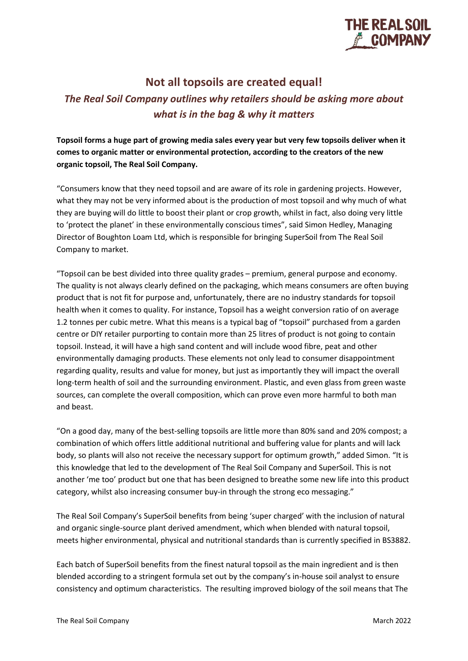

## **Not all topsoils are created equal!**

## *The Real Soil Company outlines why retailers should be asking more about what is in the bag & why it matters*

**Topsoil forms a huge part of growing media sales every year but very few topsoils deliver when it comes to organic matter or environmental protection, according to the creators of the new organic topsoil, The Real Soil Company.**

"Consumers know that they need topsoil and are aware of its role in gardening projects. However, what they may not be very informed about is the production of most topsoil and why much of what they are buying will do little to boost their plant or crop growth, whilst in fact, also doing very little to 'protect the planet' in these environmentally conscious times", said Simon Hedley, Managing Director of Boughton Loam Ltd, which is responsible for bringing SuperSoil from The Real Soil Company to market.

"Topsoil can be best divided into three quality grades – premium, general purpose and economy. The quality is not always clearly defined on the packaging, which means consumers are often buying product that is not fit for purpose and, unfortunately, there are no industry standards for topsoil health when it comes to quality. For instance, Topsoil has a weight conversion ratio of on average 1.2 tonnes per cubic metre. What this means is a typical bag of "topsoil" purchased from a garden centre or DIY retailer purporting to contain more than 25 litres of product is not going to contain topsoil. Instead, it will have a high sand content and will include wood fibre, peat and other environmentally damaging products. These elements not only lead to consumer disappointment regarding quality, results and value for money, but just as importantly they will impact the overall long-term health of soil and the surrounding environment. Plastic, and even glass from green waste sources, can complete the overall composition, which can prove even more harmful to both man and beast.

"On a good day, many of the best-selling topsoils are little more than 80% sand and 20% compost; a combination of which offers little additional nutritional and buffering value for plants and will lack body, so plants will also not receive the necessary support for optimum growth," added Simon. "It is this knowledge that led to the development of The Real Soil Company and SuperSoil. This is not another 'me too' product but one that has been designed to breathe some new life into this product category, whilst also increasing consumer buy-in through the strong eco messaging."

The Real Soil Company's SuperSoil benefits from being 'super charged' with the inclusion of natural and organic single-source plant derived amendment, which when blended with natural topsoil, meets higher environmental, physical and nutritional standards than is currently specified in BS3882.

Each batch of SuperSoil benefits from the finest natural topsoil as the main ingredient and is then blended according to a stringent formula set out by the company's in-house soil analyst to ensure consistency and optimum characteristics. The resulting improved biology of the soil means that The